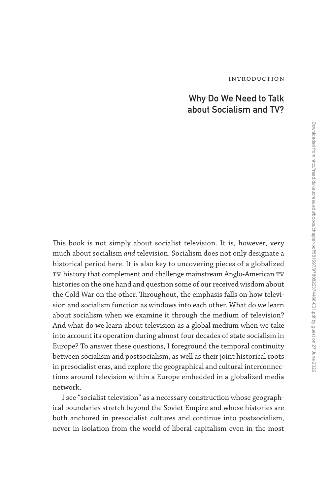# Why Do We Need to Talk [about Socialism and TV?](#page--1-0)

This book is not simply about socialist television. It is, however, very much about socialism *and* television. Socialism does not only designate a historical period here. It is also key to uncovering pieces of a globalized TV history that complement and challenge mainstream Anglo-American TV histories on the one hand and question some of our received wisdom about the Cold War on the other. Throughout, the emphasis falls on how television and socialism function as windows into each other. What do we learn about socialism when we examine it through the medium of television? And what do we learn about television as a global medium when we take into account its operation during almost four decades of state socialism in Europe? To answer these questions, I foreground the temporal continuity between socialism and postsocialism, as well as their joint historical roots in presocialist eras, and explore the geographical and cultural interconnections around television within a Europe embedded in a globalized media network.

I see "socialist television" as a necessary construction whose geographical boundaries stretch beyond the Soviet Empire and whose histories are both anchored in presocialist cultures and continue into postsocialism, never in isolation from the world of liberal capitalism even in the most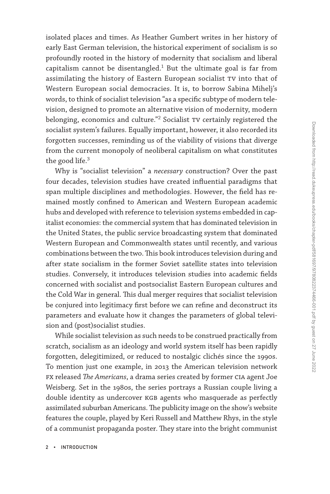isolated places and times. As Heather Gumbert writes in her history of early East German television, the historical experiment of socialism is so profoundly rooted in the history of modernity that socialism and liberal capitalism cannot be disentangled. $1$  But the ultimate goal is far from assimilating the history of Eastern European socialist TV into that of Western European social democracies. It is, to borrow Sabina Mihelj's words, to think of socialist television "as a specific subtype of modern television, designed to promote an alternative vision of modernity, modern belonging, economics and culture."<sup>[2](#page--1-0)</sup> Socialist TV certainly registered the socialist system's failures. Equally important, however, it also recorded its forgotten successes, reminding us of the viability of visions that diverge from the current monopoly of neoliberal capitalism on what constitutes the good life.<sup>3</sup>

Why is "socialist television" a *necessary* construction? Over the past four decades, television studies have created influential paradigms that span multiple disciplines and methodologies. However, the field has remained mostly confined to American and Western European academic hubs and developed with reference to television systems embedded in capitalist economies: the commercial system that has dominated television in the United States, the public service broadcasting system that dominated Western European and Commonwealth states until recently, and various combinations between the two. This book introduces television during and after state socialism in the former Soviet satellite states into television studies. Conversely, it introduces television studies into academic fields concerned with socialist and postsocialist Eastern European cultures and the Cold War in general. This dual merger requires that socialist television be conjured into legitimacy first before we can refine and deconstruct its parameters and evaluate how it changes the parameters of global television and (post)socialist studies.

While socialist television as such needs to be construed practically from scratch, socialism as an ideology and world system itself has been rapidly forgotten, delegitimized, or reduced to nostalgic clichés since the 1990s. To mention just one example, in 2013 the American television network fx released *The Americans*, a drama series created by former cia agent Joe Weisberg. Set in the 1980s, the series portrays a Russian couple living a double identity as undercover KGB agents who masquerade as perfectly assimilated suburban Americans. The publicity image on the show's website features the couple, played by Keri Russell and Matthew Rhys, in the style of a communist propaganda poster. They stare into the bright communist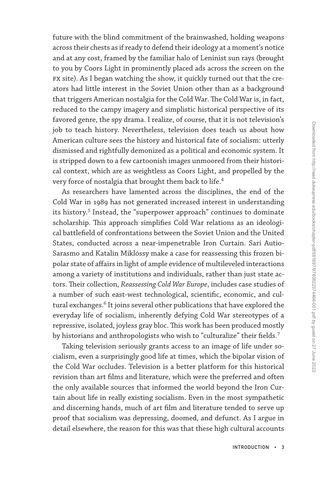future with the blind commitment of the brainwashed, holding weapons across their chests as if ready to defend their ideology at a moment's notice and at any cost, framed by the familiar halo of Leninist sun rays (brought to you by Coors Light in prominently placed ads across the screen on the FX site). As I began watching the show, it quickly turned out that the creators had little interest in the Soviet Union other than as a background that triggers American nostalgia for the Cold War. The Cold War is, in fact, reduced to the campy imagery and simplistic historical perspective of its favored genre, the spy drama. I realize, of course, that it is not television's job to teach history. Nevertheless, television does teach us about how American culture sees the history and historical fate of socialism: utterly dismissed and rightfully demonized as a political and economic system. It is stripped down to a few cartoonish images unmoored from their historical context, which are as weightless as Coors Light, and propelled by the very force of nostalgia that brought them back to life.<sup>4</sup>

As researchers have lamented across the disciplines, the end of the Cold War in 1989 has not generated increased interest in understanding its history.<sup>[5](#page--1-0)</sup> Instead, the "superpower approach" continues to dominate scholarship. This approach simplifies Cold War relations as an ideological battlefield of confrontations between the Soviet Union and the United States, conducted across a near-impenetrable Iron Curtain. Sari Autio-Sarasmo and Katalin Miklóssy make a case for reassessing this frozen bipolar state of affairs in light of ample evidence of multileveled interactions among a variety of institutions and individuals, rather than just state actors. Their collection, *Reassessing Cold War Europe*, includes case studies of a number of such east-west technological, scientific, economic, and cul-tural exchanges.<sup>[6](#page--1-0)</sup> It joins several other publications that have explored the everyday life of socialism, inherently defying Cold War stereotypes of a repressive, isolated, joyless gray bloc. This work has been produced mostly by historians and anthropologists who wish to "culturalize" their fields.<sup>[7](#page--1-0)</sup>

Taking television seriously grants access to an image of life under socialism, even a surprisingly good life at times, which the bipolar vision of the Cold War occludes. Television is a better platform for this historical revision than art films and literature, which were the preferred and often the only available sources that informed the world beyond the Iron Curtain about life in really existing socialism. Even in the most sympathetic and discerning hands, much of art film and literature tended to serve up proof that socialism was depressing, doomed, and defunct. As I argue in detail elsewhere, the reason for this was that these high cultural accounts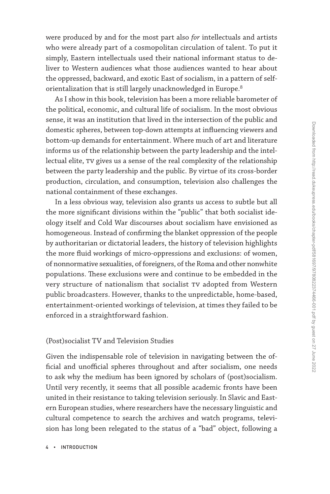were produced by and for the most part also *for* intellectuals and artists who were already part of a cosmopolitan circulation of talent. To put it simply, Eastern intellectuals used their national informant status to deliver to Western audiences what those audiences wanted to hear about the oppressed, backward, and exotic East of socialism, in a pattern of selforientalization that is still largely unacknowledged in Europe.<sup>8</sup>

As I show in this book, television has been a more reliable barometer of the political, economic, and cultural life of socialism. In the most obvious sense, it was an institution that lived in the intersection of the public and domestic spheres, between top-down attempts at influencing viewers and bottom-up demands for entertainment. Where much of art and literature informs us of the relationship between the party leadership and the intellectual elite, TV gives us a sense of the real complexity of the relationship between the party leadership and the public. By virtue of its cross-border production, circulation, and consumption, television also challenges the national containment of these exchanges.

In a less obvious way, television also grants us access to subtle but all the more significant divisions within the "public" that both socialist ideology itself and Cold War discourses about socialism have envisioned as homogeneous. Instead of confirming the blanket oppression of the people by authoritarian or dictatorial leaders, the history of television highlights the more fluid workings of micro-oppressions and exclusions: of women, of nonnormative sexualities, of foreigners, of the Roma and other nonwhite populations. These exclusions were and continue to be embedded in the very structure of nationalism that socialist TV adopted from Western public broadcasters. However, thanks to the unpredictable, home-based, entertainment-oriented workings of television, at times they failed to be enforced in a straightforward fashion.

## (Post)socialist TV and Television Studies

Given the indispensable role of television in navigating between the official and unofficial spheres throughout and after socialism, one needs to ask why the medium has been ignored by scholars of (post)socialism. Until very recently, it seems that all possible academic fronts have been united in their resistance to taking television seriously. In Slavic and Eastern European studies, where researchers have the necessary linguistic and cultural competence to search the archives and watch programs, television has long been relegated to the status of a "bad" object, following a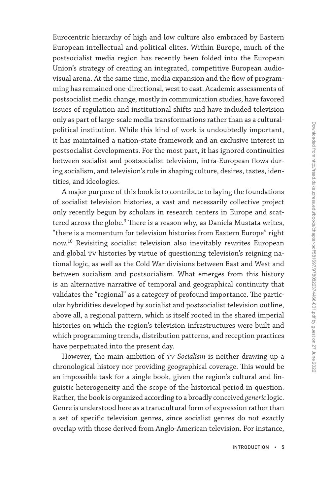Eurocentric hierarchy of high and low culture also embraced by Eastern European intellectual and political elites. Within Europe, much of the postsocialist media region has recently been folded into the European Union's strategy of creating an integrated, competitive European audiovisual arena. At the same time, media expansion and the flow of programming has remained one-directional, west to east. Academic assessments of postsocialist media change, mostly in communication studies, have favored issues of regulation and institutional shifts and have included television only as part of large-scale media transformations rather than as a culturalpolitical institution. While this kind of work is undoubtedly important, it has maintained a nation-state framework and an exclusive interest in postsocialist developments. For the most part, it has ignored continuities between socialist and postsocialist television, intra-European flows during socialism, and television's role in shaping culture, desires, tastes, identities, and ideologies.

A major purpose of this book is to contribute to laying the foundations of socialist television histories, a vast and necessarily collective project only recently begun by scholars in research centers in Europe and scat-tered across the globe.<sup>[9](#page--1-0)</sup> There is a reason why, as Daniela Mustata writes, "there is a momentum for television histories from Eastern Europe" right now.[10](#page--1-0) Revisiting socialist television also inevitably rewrites European and global tv histories by virtue of questioning television's reigning national logic, as well as the Cold War divisions between East and West and between socialism and postsocialism. What emerges from this history is an alternative narrative of temporal and geographical continuity that validates the "regional" as a category of profound importance. The particular hybridities developed by socialist and postsocialist television outline, above all, a regional pattern, which is itself rooted in the shared imperial histories on which the region's television infrastructures were built and which programming trends, distribution patterns, and reception practices have perpetuated into the present day.

However, the main ambition of *tv Socialism* is neither drawing up a chronological history nor providing geographical coverage. This would be an impossible task for a single book, given the region's cultural and linguistic heterogeneity and the scope of the historical period in question. Rather, the book is organized according to a broadly conceived *generic* logic. Genre is understood here as a transcultural form of expression rather than a set of specific television genres, since socialist genres do not exactly overlap with those derived from Anglo-American television. For instance,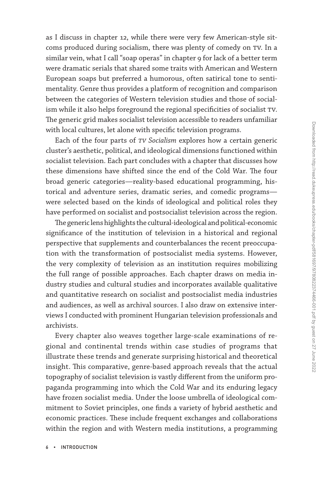as I discuss in chapter 12, while there were very few American-style sitcoms produced during socialism, there was plenty of comedy on TV. In a similar vein, what I call "soap operas" in chapter 9 for lack of a better term were dramatic serials that shared some traits with American and Western European soaps but preferred a humorous, often satirical tone to sentimentality. Genre thus provides a platform of recognition and comparison between the categories of Western television studies and those of socialism while it also helps foreground the regional specificities of socialist TV. The generic grid makes socialist television accessible to readers unfamiliar with local cultures, let alone with specific television programs.

Each of the four parts of *tv Socialism* explores how a certain generic cluster's aesthetic, political, and ideological dimensions functioned within socialist television. Each part concludes with a chapter that discusses how these dimensions have shifted since the end of the Cold War. The four broad generic categories—reality-based educational programming, historical and adventure series, dramatic series, and comedic programs were selected based on the kinds of ideological and political roles they have performed on socialist and postsocialist television across the region.

The generic lens highlights the cultural-ideological and political-economic significance of the institution of television in a historical and regional perspective that supplements and counterbalances the recent preoccupation with the transformation of postsocialist media systems. However, the very complexity of television as an institution requires mobilizing the full range of possible approaches. Each chapter draws on media industry studies and cultural studies and incorporates available qualitative and quantitative research on socialist and postsocialist media industries and audiences, as well as archival sources. I also draw on extensive interviews I conducted with prominent Hungarian television professionals and archivists.

Every chapter also weaves together large-scale examinations of regional and continental trends within case studies of programs that illustrate these trends and generate surprising historical and theoretical insight. This comparative, genre-based approach reveals that the actual topography of socialist television is vastly different from the uniform propaganda programming into which the Cold War and its enduring legacy have frozen socialist media. Under the loose umbrella of ideological commitment to Soviet principles, one finds a variety of hybrid aesthetic and economic practices. These include frequent exchanges and collaborations within the region and with Western media institutions, a programming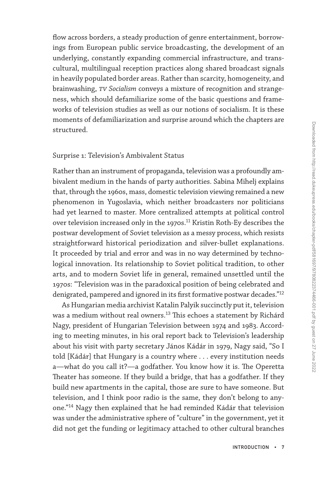flow across borders, a steady production of genre entertainment, borrowings from European public service broadcasting, the development of an underlying, constantly expanding commercial infrastructure, and transcultural, multilingual reception practices along shared broadcast signals in heavily populated border areas. Rather than scarcity, homogeneity, and brainwashing, *tv Socialism* conveys a mixture of recognition and strangeness, which should defamiliarize some of the basic questions and frameworks of television studies as well as our notions of socialism. It is these moments of defamiliarization and surprise around which the chapters are structured.

## Surprise 1: Television's Ambivalent Status

Rather than an instrument of propaganda, television was a profoundly ambivalent medium in the hands of party authorities. Sabina Mihelj explains that, through the 1960s, mass, domestic television viewing remained a new phenomenon in Yugoslavia, which neither broadcasters nor politicians had yet learned to master. More centralized attempts at political control over television increased only in the 1970s.<sup>[11](#page--1-0)</sup> Kristin Roth-Ey describes the postwar development of Soviet television as a messy process, which resists straightforward historical periodization and silver-bullet explanations. It proceeded by trial and error and was in no way determined by technological innovation. Its relationship to Soviet political tradition, to other arts, and to modern Soviet life in general, remained unsettled until the 1970s: "Television was in the paradoxical position of being celebrated and denigrated, pampered and ignored in its first formative postwar decades."<sup>[12](#page--1-0)</sup>

As Hungarian media archivist Katalin Palyik succinctly put it, television was a medium without real owners.<sup>[13](#page--1-0)</sup> This echoes a statement by Richárd Nagy, president of Hungarian Television between 1974 and 1983. According to meeting minutes, in his oral report back to Television's leadership about his visit with party secretary János Kádár in 1979, Nagy said, "So I told [Kádár] that Hungary is a country where . . . every institution needs a—what do you call it?—a godfather. You know how it is. The Operetta Theater has someone. If they build a bridge, that has a godfather. If they build new apartments in the capital, those are sure to have someone. But television, and I think poor radio is the same, they don't belong to anyone."[14](#page--1-0) Nagy then explained that he had reminded Kádár that television was under the administrative sphere of "culture" in the government, yet it did not get the funding or legitimacy attached to other cultural branches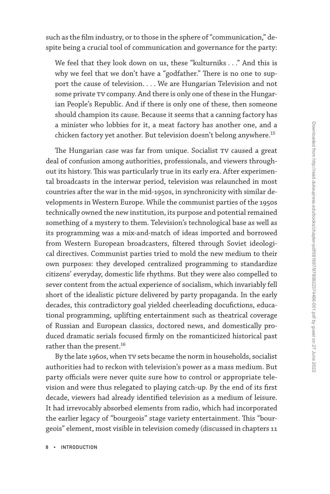such as the film industry, or to those in the sphere of "communication," despite being a crucial tool of communication and governance for the party:

We feel that they look down on us, these "kulturniks . . ." And this is why we feel that we don't have a "godfather." There is no one to support the cause of television. . . . We are Hungarian Television and not some private TV company. And there is only one of these in the Hungarian People's Republic. And if there is only one of these, then someone should champion its cause. Because it seems that a canning factory has a minister who lobbies for it, a meat factory has another one, and a chicken factory yet another. But television doesn't belong anywhere[.15](#page--1-0)

The Hungarian case was far from unique. Socialist TV caused a great deal of confusion among authorities, professionals, and viewers throughout its history. This was particularly true in its early era. After experimental broadcasts in the interwar period, television was relaunched in most countries after the war in the mid-1950s, in synchronicity with similar developments in Western Europe. While the communist parties of the 1950s technically owned the new institution, its purpose and potential remained something of a mystery to them. Television's technological base as well as its programming was a mix-and-match of ideas imported and borrowed from Western European broadcasters, filtered through Soviet ideological directives. Communist parties tried to mold the new medium to their own purposes: they developed centralized programming to standardize citizens' everyday, domestic life rhythms. But they were also compelled to sever content from the actual experience of socialism, which invariably fell short of the idealistic picture delivered by party propaganda. In the early decades, this contradictory goal yielded cheerleading docufictions, educational programming, uplifting entertainment such as theatrical coverage of Russian and European classics, doctored news, and domestically produced dramatic serials focused firmly on the romanticized historical past rather than the present.<sup>16</sup>

By the late 1960s, when tv sets became the norm in households, socialist authorities had to reckon with television's power as a mass medium. But party officials were never quite sure how to control or appropriate television and were thus relegated to playing catch-up. By the end of its first decade, viewers had already identified television as a medium of leisure. It had irrevocably absorbed elements from radio, which had incorporated the earlier legacy of "bourgeois" stage variety entertainment. This "bourgeois" element, most visible in television comedy (discussed in chapters 11

8 • introduction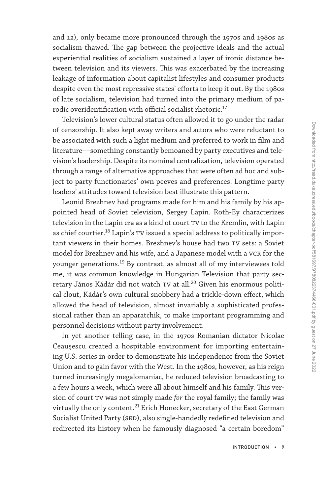and 12), only became more pronounced through the 1970s and 1980s as socialism thawed. The gap between the projective ideals and the actual experiential realities of socialism sustained a layer of ironic distance between television and its viewers. This was exacerbated by the increasing leakage of information about capitalist lifestyles and consumer products despite even the most repressive states' efforts to keep it out. By the 1980s of late socialism, television had turned into the primary medium of parodic overidentification with official socialist rhetoric.<sup>17</sup>

Television's lower cultural status often allowed it to go under the radar of censorship. It also kept away writers and actors who were reluctant to be associated with such a light medium and preferred to work in film and literature—something constantly bemoaned by party executives and television's leadership. Despite its nominal centralization, television operated through a range of alternative approaches that were often ad hoc and subject to party functionaries' own peeves and preferences. Longtime party leaders' attitudes toward television best illustrate this pattern.

Leonid Brezhnev had programs made for him and his family by his appointed head of Soviet television, Sergey Lapin. Roth-Ey characterizes television in the Lapin era as a kind of court tv to the Kremlin, with Lapin as chief courtier.<sup>[18](#page--1-0)</sup> Lapin's TV issued a special address to politically important viewers in their homes. Brezhnev's house had two TV sets: a Soviet model for Brezhnev and his wife, and a Japanese model with a vcr for the younger generations.[19](#page--1-0) By contrast, as almost all of my interviewees told me, it was common knowledge in Hungarian Television that party secretary János Kádár did not watch  $TV$  at all.<sup>20</sup> Given his enormous political clout, Kádár's own cultural snobbery had a trickle-down effect, which allowed the head of television, almost invariably a sophisticated professional rather than an apparatchik, to make important programming and personnel decisions without party involvement.

In yet another telling case, in the 1970s Romanian dictator Nicolae Ceaușescu created a hospitable environment for importing entertaining U.S. series in order to demonstrate his independence from the Soviet Union and to gain favor with the West. In the 1980s, however, as his reign turned increasingly megalomaniac, he reduced television broadcasting to a few hours a week, which were all about himself and his family. This version of court tv was not simply made *for* the royal family; the family was virtually the only content.<sup>21</sup> Erich Honecker, secretary of the East German Socialist United Party (SED), also single-handedly redefined television and redirected its history when he famously diagnosed "a certain boredom"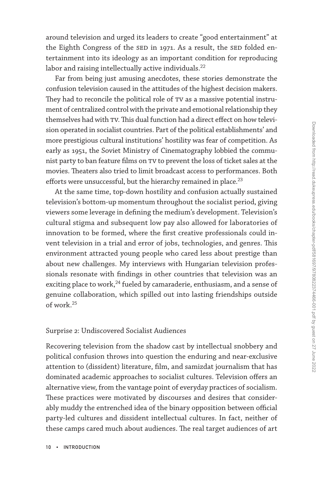around television and urged its leaders to create "good entertainment" at the Eighth Congress of the SED in 1971. As a result, the SED folded entertainment into its ideology as an important condition for reproducing labor and raising intellectually active individuals.<sup>22</sup>

Far from being just amusing anecdotes, these stories demonstrate the confusion television caused in the attitudes of the highest decision makers. They had to reconcile the political role of TV as a massive potential instrument of centralized control with the private and emotional relationship they themselves had with tv. This dual function had a direct effect on how television operated in socialist countries. Part of the political establishments' and more prestigious cultural institutions' hostility was fear of competition. As early as 1951, the Soviet Ministry of Cinematography lobbied the communist party to ban feature films on TV to prevent the loss of ticket sales at the movies. Theaters also tried to limit broadcast access to performances. Both efforts were unsuccessful, but the hierarchy remained in place.<sup>23</sup>

At the same time, top-down hostility and confusion actually sustained television's bottom-up momentum throughout the socialist period, giving viewers some leverage in defining the medium's development. Television's cultural stigma and subsequent low pay also allowed for laboratories of innovation to be formed, where the first creative professionals could invent television in a trial and error of jobs, technologies, and genres. This environment attracted young people who cared less about prestige than about new challenges. My interviews with Hungarian television professionals resonate with findings in other countries that television was an exciting place to work, $^{24}$  fueled by camaraderie, enthusiasm, and a sense of genuine collaboration, which spilled out into lasting friendships outside of work[.25](#page--1-0)

# Surprise 2: Undiscovered Socialist Audiences

Recovering television from the shadow cast by intellectual snobbery and political confusion throws into question the enduring and near-exclusive attention to (dissident) literature, film, and samizdat journalism that has dominated academic approaches to socialist cultures. Television offers an alternative view, from the vantage point of everyday practices of socialism. These practices were motivated by discourses and desires that considerably muddy the entrenched idea of the binary opposition between official party-led cultures and dissident intellectual cultures. In fact, neither of these camps cared much about audiences. The real target audiences of art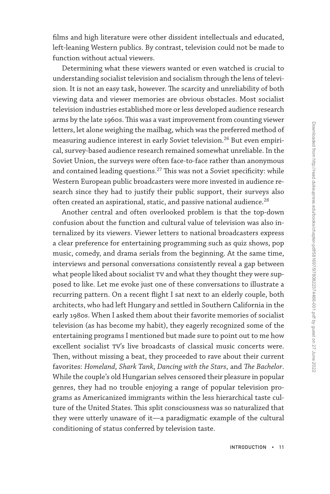films and high literature were other dissident intellectuals and educated, left-leaning Western publics. By contrast, television could not be made to function without actual viewers.

Determining what these viewers wanted or even watched is crucial to understanding socialist television and socialism through the lens of television. It is not an easy task, however. The scarcity and unreliability of both viewing data and viewer memories are obvious obstacles. Most socialist television industries established more or less developed audience research arms by the late 1960s. This was a vast improvement from counting viewer letters, let alone weighing the mailbag, which was the preferred method of measuring audience interest in early Soviet television.<sup>26</sup> But even empirical, survey-based audience research remained somewhat unreliable. In the Soviet Union, the surveys were often face-to-face rather than anonymous and contained leading questions.<sup>27</sup> This was not a Soviet specificity: while Western European public broadcasters were more invested in audience research since they had to justify their public support, their surveys also often created an aspirational, static, and passive national audience.<sup>28</sup>

Another central and often overlooked problem is that the top-down confusion about the function and cultural value of television was also internalized by its viewers. Viewer letters to national broadcasters express a clear preference for entertaining programming such as quiz shows, pop music, comedy, and drama serials from the beginning. At the same time, interviews and personal conversations consistently reveal a gap between what people liked about socialist TV and what they thought they were supposed to like. Let me evoke just one of these conversations to illustrate a recurring pattern. On a recent flight I sat next to an elderly couple, both architects, who had left Hungary and settled in Southern California in the early 1980s. When I asked them about their favorite memories of socialist television (as has become my habit), they eagerly recognized some of the entertaining programs I mentioned but made sure to point out to me how excellent socialist TV's live broadcasts of classical music concerts were. Then, without missing a beat, they proceeded to rave about their current favorites: *Homeland*, *Shark Tank*, *Dancing with the Stars*, and *The Bachelor*. While the couple's old Hungarian selves censored their pleasure in popular genres, they had no trouble enjoying a range of popular television programs as Americanized immigrants within the less hierarchical taste culture of the United States. This split consciousness was so naturalized that they were utterly unaware of it—a paradigmatic example of the cultural conditioning of status conferred by television taste.

introduction • 11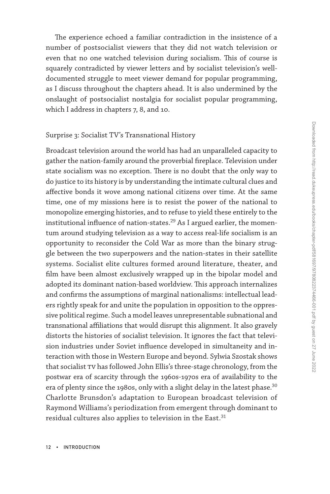The experience echoed a familiar contradiction in the insistence of a number of postsocialist viewers that they did not watch television or even that no one watched television during socialism. This of course is squarely contradicted by viewer letters and by socialist television's welldocumented struggle to meet viewer demand for popular programming, as I discuss throughout the chapters ahead. It is also undermined by the onslaught of postsocialist nostalgia for socialist popular programming, which I address in chapters 7, 8, and 10.

#### Surprise 3: Socialist TV's Transnational History

Broadcast television around the world has had an unparalleled capacity to gather the nation-family around the proverbial fireplace. Television under state socialism was no exception. There is no doubt that the only way to do justice to its history is by understanding the intimate cultural clues and affective bonds it wove among national citizens over time. At the same time, one of my missions here is to resist the power of the national to monopolize emerging histories, and to refuse to yield these entirely to the institutional influence of nation-states.<sup>29</sup> As I argued earlier, the momentum around studying television as a way to access real-life socialism is an opportunity to reconsider the Cold War as more than the binary struggle between the two superpowers and the nation-states in their satellite systems. Socialist elite cultures formed around literature, theater, and film have been almost exclusively wrapped up in the bipolar model and adopted its dominant nation-based worldview. This approach internalizes and confirms the assumptions of marginal nationalisms: intellectual leaders rightly speak for and unite the population in opposition to the oppressive political regime. Such a model leaves unrepresentable subnational and transnational affiliations that would disrupt this alignment. It also gravely distorts the histories of socialist television. It ignores the fact that television industries under Soviet influence developed in simultaneity and interaction with those in Western Europe and beyond. Sylwia Szostak shows that socialist tv has followed John Ellis's three-stage chronology, from the postwar era of scarcity through the 1960s-1970s era of availability to the era of plenty since the 1980s, only with a slight delay in the latest phase.<sup>30</sup> Charlotte Brunsdon's adaptation to European broadcast television of Raymond Williams's periodization from emergent through dominant to residual cultures also applies to television in the East. $31$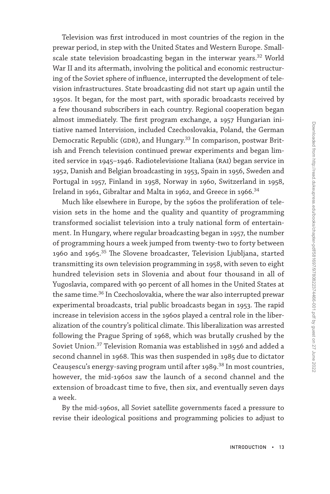Television was first introduced in most countries of the region in the prewar period, in step with the United States and Western Europe. Smallscale state television broadcasting began in the interwar years.<sup>32</sup> World War II and its aftermath, involving the political and economic restructuring of the Soviet sphere of influence, interrupted the development of television infrastructures. State broadcasting did not start up again until the 1950s. It began, for the most part, with sporadic broadcasts received by a few thousand subscribers in each country. Regional cooperation began almost immediately. The first program exchange, a 1957 Hungarian initiative named Intervision, included Czechoslovakia, Poland, the German Democratic Republic (GDR), and Hungary.<sup>[33](#page--1-0)</sup> In comparison, postwar British and French television continued prewar experiments and began limited service in 1945–1946. Radiotelevisione Italiana (RAI) began service in 1952, Danish and Belgian broadcasting in 1953, Spain in 1956, Sweden and Portugal in 1957, Finland in 1958, Norway in 1960, Switzerland in 1958, Ireland in 1961, Gibraltar and Malta in 1962, and Greece in 1966.<sup>34</sup>

Much like elsewhere in Europe, by the 1960s the proliferation of television sets in the home and the quality and quantity of programming transformed socialist television into a truly national form of entertainment. In Hungary, where regular broadcasting began in 1957, the number of programming hours a week jumped from twenty-two to forty between 1960 and 1965.[35](#page--1-0) The Slovene broadcaster, Television Ljubljana, started transmitting its own television programming in 1958, with seven to eight hundred television sets in Slovenia and about four thousand in all of Yugoslavia, compared with 90 percent of all homes in the United States at the same time.<sup>36</sup> In Czechoslovakia, where the war also interrupted prewar experimental broadcasts, trial public broadcasts began in 1953. The rapid increase in television access in the 1960s played a central role in the liberalization of the country's political climate. This liberalization was arrested following the Prague Spring of 1968, which was brutally crushed by the Soviet Union.[37](#page--1-0) Television Romania was established in 1956 and added a second channel in 1968. This was then suspended in 1985 due to dictator Ceaușescu's energy-saving program until after 1989.<sup>38</sup> In most countries, however, the mid-1960s saw the launch of a second channel and the extension of broadcast time to five, then six, and eventually seven days a week.

By the mid-1960s, all Soviet satellite governments faced a pressure to revise their ideological positions and programming policies to adjust to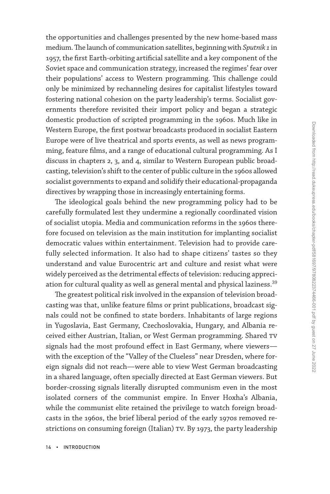the opportunities and challenges presented by the new home-based mass medium. The launch of communication satellites, beginning with *Sputnik 1* in 1957, the first Earth-orbiting artificial satellite and a key component of the Soviet space and communication strategy, increased the regimes' fear over their populations' access to Western programming. This challenge could only be minimized by rechanneling desires for capitalist lifestyles toward fostering national cohesion on the party leadership's terms. Socialist governments therefore revisited their import policy and began a strategic domestic production of scripted programming in the 1960s. Much like in Western Europe, the first postwar broadcasts produced in socialist Eastern Europe were of live theatrical and sports events, as well as news programming, feature films, and a range of educational cultural programming. As I discuss in chapters 2, 3, and 4, similar to Western European public broadcasting, television's shift to the center of public culture in the 1960s allowed socialist governments to expand and solidify their educational-propaganda directives by wrapping those in increasingly entertaining forms.

The ideological goals behind the new programming policy had to be carefully formulated lest they undermine a regionally coordinated vision of socialist utopia. Media and communication reforms in the 1960s therefore focused on television as the main institution for implanting socialist democratic values within entertainment. Television had to provide carefully selected information. It also had to shape citizens' tastes so they understand and value Eurocentric art and culture and resist what were widely perceived as the detrimental effects of television: reducing appreciation for cultural quality as well as general mental and physical laziness.<sup>39</sup>

The greatest political risk involved in the expansion of television broadcasting was that, unlike feature films or print publications, broadcast signals could not be confined to state borders. Inhabitants of large regions in Yugoslavia, East Germany, Czechoslovakia, Hungary, and Albania received either Austrian, Italian, or West German programming. Shared TV signals had the most profound effect in East Germany, where viewers with the exception of the "Valley of the Clueless" near Dresden, where foreign signals did not reach—were able to view West German broadcasting in a shared language, often specially directed at East German viewers. But border-crossing signals literally disrupted communism even in the most isolated corners of the communist empire. In Enver Hoxha's Albania, while the communist elite retained the privilege to watch foreign broadcasts in the 1960s, the brief liberal period of the early 1970s removed restrictions on consuming foreign (Italian) TV. By 1973, the party leadership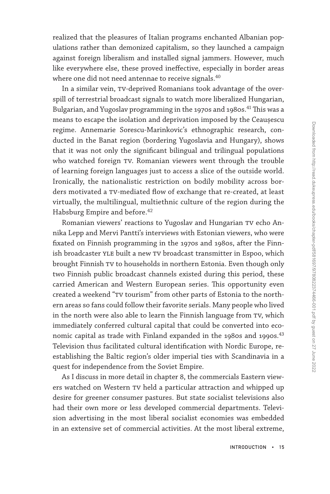realized that the pleasures of Italian programs enchanted Albanian populations rather than demonized capitalism, so they launched a campaign against foreign liberalism and installed signal jammers. However, much like everywhere else, these proved ineffective, especially in border areas where one did not need antennae to receive signals.<sup>[40](#page--1-0)</sup>

In a similar vein, tv-deprived Romanians took advantage of the overspill of terrestrial broadcast signals to watch more liberalized Hungarian, Bulgarian, and Yugoslav programming in the 1970s and 1980s.<sup>[41](#page--1-0)</sup> This was a means to escape the isolation and deprivation imposed by the Ceaușescu regime. Annemarie Sorescu-Marinkovic's ethnographic research, conducted in the Banat region (bordering Yugoslavia and Hungary), shows that it was not only the significant bilingual and trilingual populations who watched foreign tv. Romanian viewers went through the trouble of learning foreign languages just to access a slice of the outside world. Ironically, the nationalistic restriction on bodily mobility across borders motivated a tv-mediated flow of exchange that re-created, at least virtually, the multilingual, multiethnic culture of the region during the Habsburg Empire and before.<sup>[42](#page--1-0)</sup>

Romanian viewers' reactions to Yugoslav and Hungarian tv echo Annika Lepp and Mervi Pantti's interviews with Estonian viewers, who were fixated on Finnish programming in the 1970s and 1980s, after the Finnish broadcaster yle built a new tv broadcast transmitter in Espoo, which brought Finnish tv to households in northern Estonia. Even though only two Finnish public broadcast channels existed during this period, these carried American and Western European series. This opportunity even created a weekend "TV tourism" from other parts of Estonia to the northern areas so fans could follow their favorite serials. Many people who lived in the north were also able to learn the Finnish language from tv, which immediately conferred cultural capital that could be converted into economic capital as trade with Finland expanded in the 1980s and 1990s.<sup>43</sup> Television thus facilitated cultural identification with Nordic Europe, reestablishing the Baltic region's older imperial ties with Scandinavia in a quest for independence from the Soviet Empire.

As I discuss in more detail in chapter 8, the commercials Eastern viewers watched on Western tv held a particular attraction and whipped up desire for greener consumer pastures. But state socialist televisions also had their own more or less developed commercial departments. Television advertising in the most liberal socialist economies was embedded in an extensive set of commercial activities. At the most liberal extreme,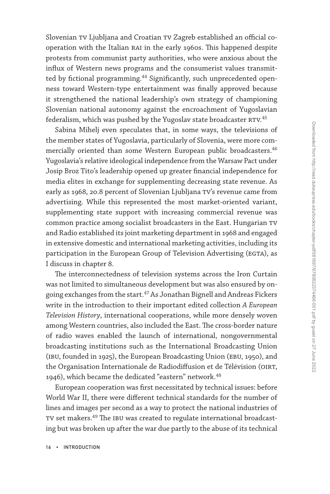Slovenian tv Ljubljana and Croatian tv Zagreb established an official cooperation with the Italian RAI in the early 1960s. This happened despite protests from communist party authorities, who were anxious about the influx of Western news programs and the consumerist values transmitted by fictional programming.<sup>44</sup> Significantly, such unprecedented openness toward Western-type entertainment was finally approved because it strengthened the national leadership's own strategy of championing Slovenian national autonomy against the encroachment of Yugoslavian federalism, which was pushed by the Yugoslav state broadcaster <code>RTV. $^{45}$  $^{45}$  $^{45}$ </code>

Sabina Mihelj even speculates that, in some ways, the televisions of the member states of Yugoslavia, particularly of Slovenia, were more commercially oriented than some Western European public broadcasters.<sup>46</sup> Yugoslavia's relative ideological independence from the Warsaw Pact under Josip Broz Tito's leadership opened up greater financial independence for media elites in exchange for supplementing decreasing state revenue. As early as 1968, 20.8 percent of Slovenian Ljubljana tv's revenue came from advertising. While this represented the most market-oriented variant, supplementing state support with increasing commercial revenue was common practice among socialist broadcasters in the East. Hungarian tv and Radio established its joint marketing department in 1968 and engaged in extensive domestic and international marketing activities, including its participation in the European Group of Television Advertising (EGTA), as I discuss in chapter 8.

The interconnectedness of television systems across the Iron Curtain was not limited to simultaneous development but was also ensured by ongoing exchanges from the start.<sup>47</sup> As Jonathan Bignell and Andreas Fickers write in the introduction to their important edited collection *A European Television History*, international cooperations, while more densely woven among Western countries, also included the East. The cross-border nature of radio waves enabled the launch of international, nongovernmental broadcasting institutions such as the International Broadcasting Union (ibu, founded in 1925), the European Broadcasting Union (ebu, 1950), and the Organisation Internationale de Radiodiffusion et de Télévision (oirt, 1946), which became the dedicated "eastern" network.<sup>[48](#page--1-0)</sup>

European cooperation was first necessitated by technical issues: before World War II, there were different technical standards for the number of lines and images per second as a way to protect the national industries of TV set makers.<sup>49</sup> The IBU was created to regulate international broadcasting but was broken up after the war due partly to the abuse of its technical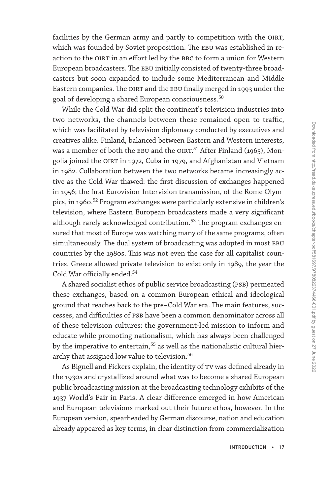facilities by the German army and partly to competition with the OIRT, which was founded by Soviet proposition. The EBU was established in reaction to the OIRT in an effort led by the BBC to form a union for Western European broadcasters. The ebu initially consisted of twenty-three broadcasters but soon expanded to include some Mediterranean and Middle Eastern companies. The OIRT and the EBU finally merged in 1993 under the goal of developing a shared European consciousness.<sup>50</sup>

While the Cold War did split the continent's television industries into two networks, the channels between these remained open to traffic, which was facilitated by television diplomacy conducted by executives and creatives alike. Finland, balanced between Eastern and Western interests, was a member of both the EBU and the OIRT.<sup>[51](#page--1-0)</sup> After Finland (1965), Mongolia joined the OIRT in 1972, Cuba in 1979, and Afghanistan and Vietnam in 1982. Collaboration between the two networks became increasingly active as the Cold War thawed: the first discussion of exchanges happened in 1956; the first Eurovision-Intervision transmission, of the Rome Olympics, in 1960.<sup>52</sup> Program exchanges were particularly extensive in children's television, where Eastern European broadcasters made a very significant although rarely acknowledged contribution.<sup>[53](#page--1-0)</sup> The program exchanges ensured that most of Europe was watching many of the same programs, often simultaneously. The dual system of broadcasting was adopted in most EBU countries by the 1980s. This was not even the case for all capitalist countries. Greece allowed private television to exist only in 1989, the year the Cold War officially ended[.54](#page--1-0)

A shared socialist ethos of public service broadcasting (PSB) permeated these exchanges, based on a common European ethical and ideological ground that reaches back to the pre–Cold War era. The main features, successes, and difficulties of psb have been a common denominator across all of these television cultures: the government-led mission to inform and educate while promoting nationalism, which has always been challenged by the imperative to entertain, $55$  as well as the nationalistic cultural hierarchy that assigned low value to television.<sup>56</sup>

As Bignell and Fickers explain, the identity of TV was defined already in the 1930s and crystallized around what was to become a shared European public broadcasting mission at the broadcasting technology exhibits of the 1937 World's Fair in Paris. A clear difference emerged in how American and European televisions marked out their future ethos, however. In the European version, spearheaded by German discourse, nation and education already appeared as key terms, in clear distinction from commercialization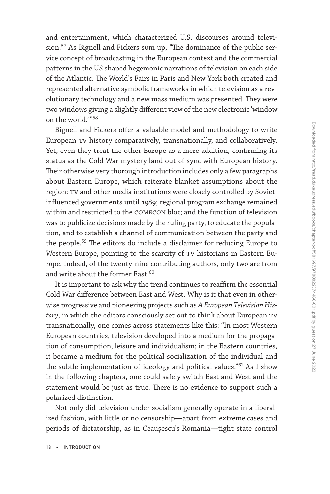and entertainment, which characterized U.S. discourses around television.<sup>57</sup> As Bignell and Fickers sum up, "The dominance of the public service concept of broadcasting in the European context and the commercial patterns in the US shaped hegemonic narrations of television on each side of the Atlantic. The World's Fairs in Paris and New York both created and represented alternative symbolic frameworks in which television as a revolutionary technology and a new mass medium was presented. They were two windows giving a slightly different view of the new electronic 'window on the world.'["58](#page--1-0)

Bignell and Fickers offer a valuable model and methodology to write European tv history comparatively, transnationally, and collaboratively. Yet, even they treat the other Europe as a mere addition, confirming its status as the Cold War mystery land out of sync with European history. Their otherwise very thorough introduction includes only a few paragraphs about Eastern Europe, which reiterate blanket assumptions about the region: TV and other media institutions were closely controlled by Sovietinfluenced governments until 1989; regional program exchange remained within and restricted to the comecon bloc; and the function of television was to publicize decisions made by the ruling party, to educate the population, and to establish a channel of communication between the party and the people.[59](#page--1-0) The editors do include a disclaimer for reducing Europe to Western Europe, pointing to the scarcity of tv historians in Eastern Europe. Indeed, of the twenty-nine contributing authors, only two are from and write about the former East.<sup>60</sup>

It is important to ask why the trend continues to reaffirm the essential Cold War difference between East and West. Why is it that even in otherwise progressive and pioneering projects such as *A European Television His*tory, in which the editors consciously set out to think about European TV transnationally, one comes across statements like this: "In most Western European countries, television developed into a medium for the propagation of consumption, leisure and individualism; in the Eastern countries, it became a medium for the political socialization of the individual and the subtle implementation of ideology and political values."[61](#page--1-0) As I show in the following chapters, one could safely switch East and West and the statement would be just as true. There is no evidence to support such a polarized distinction.

Not only did television under socialism generally operate in a liberalized fashion, with little or no censorship—apart from extreme cases and periods of dictatorship, as in Ceaușescu's Romania—tight state control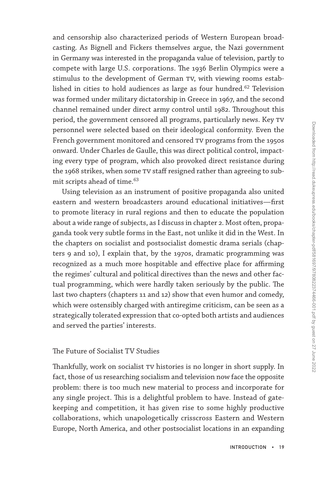and censorship also characterized periods of Western European broadcasting. As Bignell and Fickers themselves argue, the Nazi government in Germany was interested in the propaganda value of television, partly to compete with large U.S. corporations. The 1936 Berlin Olympics were a stimulus to the development of German TV, with viewing rooms established in cities to hold audiences as large as four hundred.<sup>62</sup> Television was formed under military dictatorship in Greece in 1967, and the second channel remained under direct army control until 1982. Throughout this period, the government censored all programs, particularly news. Key tv personnel were selected based on their ideological conformity. Even the French government monitored and censored TV programs from the 1950s onward. Under Charles de Gaulle, this was direct political control, impacting every type of program, which also provoked direct resistance during the 1968 strikes, when some TV staff resigned rather than agreeing to sub-mit scripts ahead of time.<sup>[63](#page--1-0)</sup>

Using television as an instrument of positive propaganda also united eastern and western broadcasters around educational initiatives—first to promote literacy in rural regions and then to educate the population about a wide range of subjects, as I discuss in chapter 2. Most often, propaganda took very subtle forms in the East, not unlike it did in the West. In the chapters on socialist and postsocialist domestic drama serials (chapters 9 and 10), I explain that, by the 1970s, dramatic programming was recognized as a much more hospitable and effective place for affirming the regimes' cultural and political directives than the news and other factual programming, which were hardly taken seriously by the public. The last two chapters (chapters 11 and 12) show that even humor and comedy, which were ostensibly charged with antiregime criticism, can be seen as a strategically tolerated expression that co-opted both artists and audiences and served the parties' interests.

## The Future of Socialist TV Studies

Thankfully, work on socialist tv histories is no longer in short supply. In fact, those of us researching socialism and television now face the opposite problem: there is too much new material to process and incorporate for any single project. This is a delightful problem to have. Instead of gatekeeping and competition, it has given rise to some highly productive collaborations, which unapologetically crisscross Eastern and Western Europe, North America, and other postsocialist locations in an expanding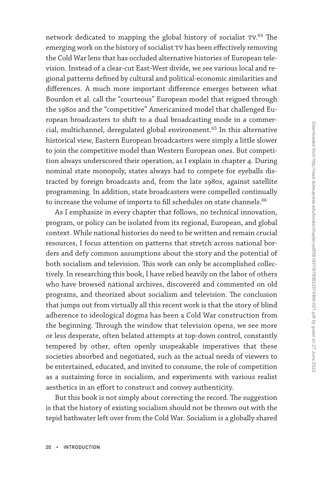network dedicated to mapping the global history of socialist TV.<sup>[64](#page--1-0)</sup> The emerging work on the history of socialist TV has been effectively removing the Cold War lens that has occluded alternative histories of European television. Instead of a clear-cut East-West divide, we see various local and regional patterns defined by cultural and political-economic similarities and differences. A much more important difference emerges between what Bourdon et al. call the "courteous" European model that reigned through the 1980s and the "competitive" Americanized model that challenged European broadcasters to shift to a dual broadcasting mode in a commercial, multichannel, deregulated global environment.<sup>65</sup> In this alternative historical view, Eastern European broadcasters were simply a little slower to join the competitive model than Western European ones. But competition always underscored their operation, as I explain in chapter 4. During nominal state monopoly, states always had to compete for eyeballs distracted by foreign broadcasts and, from the late 1980s, against satellite programming. In addition, state broadcasters were compelled continually to increase the volume of imports to fill schedules on state channels.<sup>66</sup>

As I emphasize in every chapter that follows, no technical innovation, program, or policy can be isolated from its regional, European, and global context. While national histories do need to be written and remain crucial resources, I focus attention on patterns that stretch across national borders and defy common assumptions about the story and the potential of both socialism and television. This work can only be accomplished collectively. In researching this book, I have relied heavily on the labor of others who have browsed national archives, discovered and commented on old programs, and theorized about socialism and television. The conclusion that jumps out from virtually all this recent work is that the story of blind adherence to ideological dogma has been a Cold War construction from the beginning. Through the window that television opens, we see more or less desperate, often belated attempts at top-down control, constantly tempered by other, often openly unspeakable imperatives that these societies absorbed and negotiated, such as the actual needs of viewers to be entertained, educated, and invited to consume, the role of competition as a sustaining force in socialism, and experiments with various realist aesthetics in an effort to construct and convey authenticity.

But this book is not simply about correcting the record. The suggestion is that the history of existing socialism should not be thrown out with the tepid bathwater left over from the Cold War. Socialism is a globally shared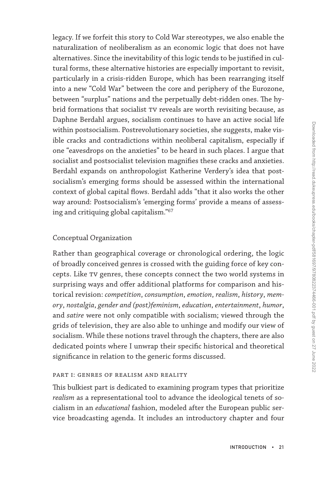legacy. If we forfeit this story to Cold War stereotypes, we also enable the naturalization of neoliberalism as an economic logic that does not have alternatives. Since the inevitability of this logic tends to be justified in cultural forms, these alternative histories are especially important to revisit, particularly in a crisis-ridden Europe, which has been rearranging itself into a new "Cold War" between the core and periphery of the Eurozone, between "surplus" nations and the perpetually debt-ridden ones. The hybrid formations that socialist TV reveals are worth revisiting because, as Daphne Berdahl argues, socialism continues to have an active social life within postsocialism. Postrevolutionary societies, she suggests, make visible cracks and contradictions within neoliberal capitalism, especially if one "eavesdrops on the anxieties" to be heard in such places. I argue that socialist and postsocialist television magnifies these cracks and anxieties. Berdahl expands on anthropologist Katherine Verdery's idea that postsocialism's emerging forms should be assessed within the international context of global capital flows. Berdahl adds "that it also works the other way around: Postsocialism's 'emerging forms' provide a means of assessing and critiquing global capitalism."[67](#page--1-0)

# Conceptual Organization

Rather than geographical coverage or chronological ordering, the logic of broadly conceived genres is crossed with the guiding force of key concepts. Like TV genres, these concepts connect the two world systems in surprising ways and offer additional platforms for comparison and historical revision: *competition*, *consumption*, *emotion*, *realism*, *history*, *memory*, *nostalgia*, *gender and (post)feminism*, *education*, *entertainment*, *humor*, and *satire* were not only compatible with socialism; viewed through the grids of television, they are also able to unhinge and modify our view of socialism. While these notions travel through the chapters, there are also dedicated points where I unwrap their specific historical and theoretical significance in relation to the generic forms discussed.

### part i: genres of realism and reality

This bulkiest part is dedicated to examining program types that prioritize *realism* as a representational tool to advance the ideological tenets of socialism in an *educational* fashion, modeled after the European public service broadcasting agenda. It includes an introductory chapter and four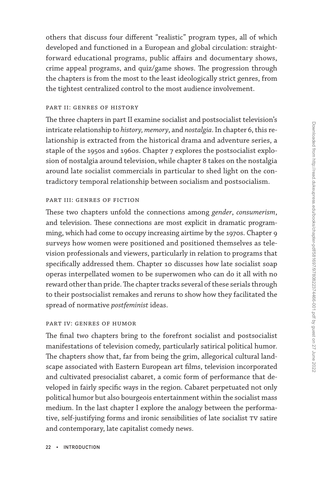others that discuss four different "realistic" program types, all of which developed and functioned in a European and global circulation: straightforward educational programs, public affairs and documentary shows, crime appeal programs, and quiz/game shows. The progression through the chapters is from the most to the least ideologically strict genres, from the tightest centralized control to the most audience involvement.

### part ii: genres of history

The three chapters in part II examine socialist and postsocialist television's intricate relationship to *history, memory*, and *nostalgia*. In chapter 6, this relationship is extracted from the historical drama and adventure series, a staple of the 1950s and 1960s. Chapter 7 explores the postsocialist explosion of nostalgia around television, while chapter 8 takes on the nostalgia around late socialist commercials in particular to shed light on the contradictory temporal relationship between socialism and postsocialism.

## part iii: genres of fiction

These two chapters unfold the connections among *gender*, *consumerism*, and television. These connections are most explicit in dramatic programming, which had come to occupy increasing airtime by the 1970s. Chapter 9 surveys how women were positioned and positioned themselves as television professionals and viewers, particularly in relation to programs that specifically addressed them. Chapter 10 discusses how late socialist soap operas interpellated women to be superwomen who can do it all with no reward other than pride. The chapter tracks several of these serials through to their postsocialist remakes and reruns to show how they facilitated the spread of normative *postfeminist* ideas.

#### part iv: genres of humor

The final two chapters bring to the forefront socialist and postsocialist manifestations of television comedy, particularly satirical political humor. The chapters show that, far from being the grim, allegorical cultural landscape associated with Eastern European art films, television incorporated and cultivated presocialist cabaret, a comic form of performance that developed in fairly specific ways in the region. Cabaret perpetuated not only political humor but also bourgeois entertainment within the socialist mass medium. In the last chapter I explore the analogy between the performative, self-justifying forms and ironic sensibilities of late socialist tv satire and contemporary, late capitalist comedy news.